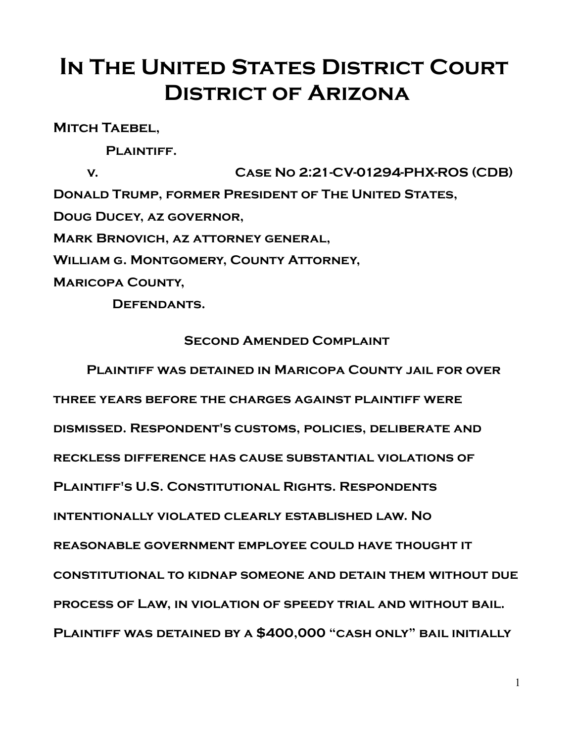## **IN THE UNITED STATES DISTRICT COURT District of Arizona**

**Mitch Taebel,**

PLAINTIFF.

**v. Case No 2:21-CV-01294-PHX-ROS (CDB) Donald Trump, former President of The United States, Doug Ducey, az governor, Mark Brnovich, az attorney general, William g. Montgomery, County Attorney, Maricopa County,**

 **Defendants.**

## **Second Amended Complaint**

**Plaintiff was detained in Maricopa County jail for over three years before the charges against plaintiff were dismissed. Respondent's customs, policies, deliberate and reckless difference has cause substantial violations of Plaintiff's U.S. Constitutional Rights. Respondents intentionally violated clearly established law. No reasonable government employee could have thought it constitutional to kidnap someone and detain them without due process of Law, in violation of speedy trial and without bail. Plaintiff was detained by a \$400,000 "cash only" bail initially**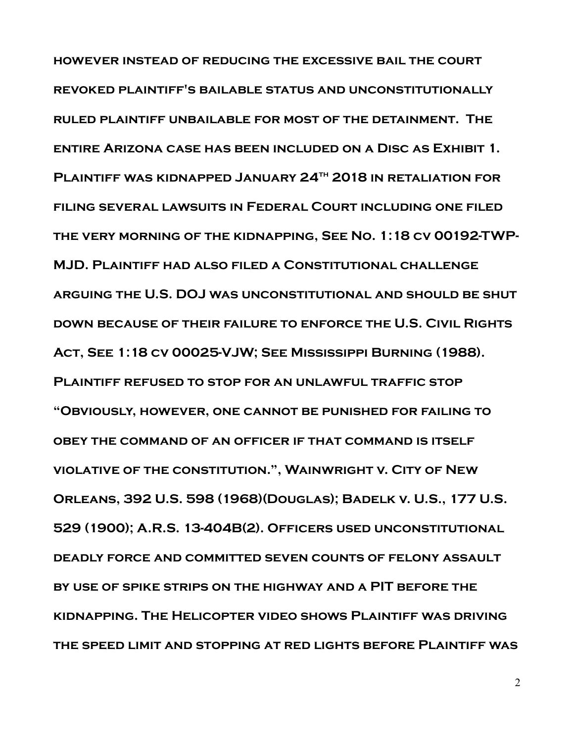**however instead of reducing the excessive bail the court revoked plaintiff's bailable status and unconstitutionally ruled plaintiff unbailable for most of the detainment. The entire Arizona case has been included on a Disc as Exhibit 1. Plaintiff was kidnapped January 24th 2018 in retaliation for filing several lawsuits in Federal Court including one filed the very morning of the kidnapping, See No. 1:18 cv 00192-TWP-MJD. Plaintiff had also filed a Constitutional challenge arguing the U.S. DOJ was unconstitutional and should be shut down because of their failure to enforce the U.S. Civil Rights Act, See 1:18 cv 00025-VJW; See Mississippi Burning (1988). Plaintiff refused to stop for an unlawful traffic stop "Obviously, however, one cannot be punished for failing to obey the command of an officer if that command is itself violative of the constitution.", Wainwright v. City of New Orleans, 392 U.S. 598 (1968)(Douglas); Badelk v. U.S., 177 U.S. 529 (1900); A.R.S. 13-404B(2). Officers used unconstitutional deadly force and committed seven counts of felony assault by use of spike strips on the highway and a PIT before the kidnapping. The Helicopter video shows Plaintiff was driving the speed limit and stopping at red lights before Plaintiff was**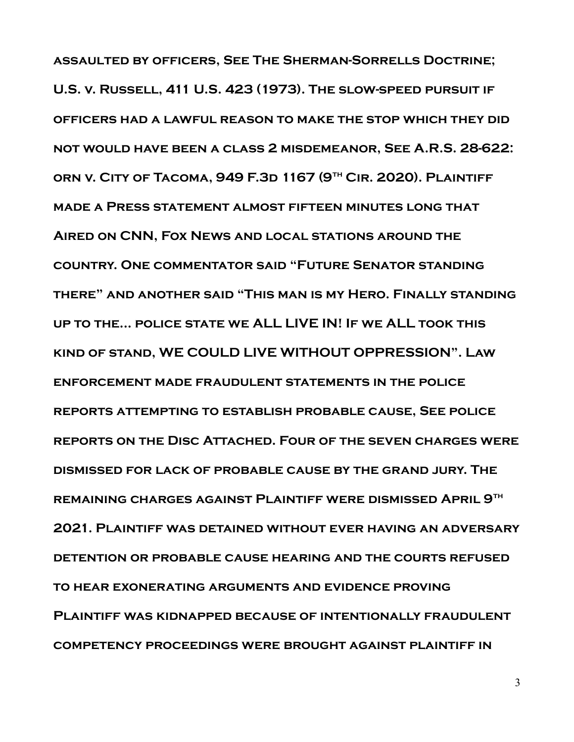**assaulted by officers, See The Sherman-Sorrells Doctrine; U.S. v. Russell, 411 U.S. 423 (1973). The slow-speed pursuit if officers had a lawful reason to make the stop which they did not would have been a class 2 misdemeanor, See A.R.S. 28-622: orn v. City of Tacoma, 949 F.3d 1167 (9th Cir. 2020). Plaintiff made a Press statement almost fifteen minutes long that Aired on CNN, Fox News and local stations around the country. One commentator said "Future Senator standing there" and another said "This man is my Hero. Finally standing up to the... police state we ALL LIVE IN! If we ALL took this kind of stand, WE COULD LIVE WITHOUT OPPRESSION". Law enforcement made fraudulent statements in the police reports attempting to establish probable cause, See police reports on the Disc Attached. Four of the seven charges were dismissed for lack of probable cause by the grand jury. The remaining charges against Plaintiff were dismissed April 9th 2021. Plaintiff was detained without ever having an adversary detention or probable cause hearing and the courts refused to hear exonerating arguments and evidence proving Plaintiff was kidnapped because of intentionally fraudulent competency proceedings were brought against plaintiff in**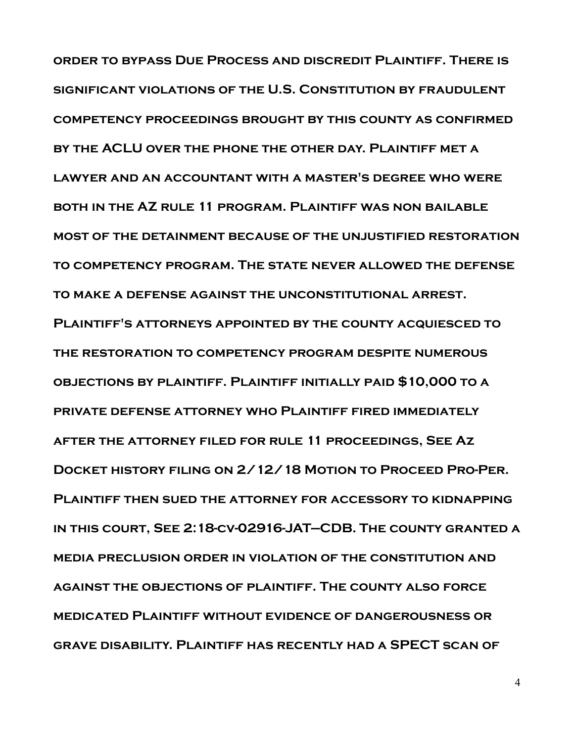**order to bypass Due Process and discredit Plaintiff. There is significant violations of the U.S. Constitution by fraudulent competency proceedings brought by this county as confirmed by the ACLU over the phone the other day. Plaintiff met a lawyer and an accountant with a master's degree who were both in the AZ rule 11 program. Plaintiff was non bailable most of the detainment because of the unjustified restoration to competency program. The state never allowed the defense to make a defense against the unconstitutional arrest. Plaintiff's attorneys appointed by the county acquiesced to the restoration to competency program despite numerous objections by plaintiff. Plaintiff initially paid \$10,000 to a private defense attorney who Plaintiff fired immediately after the attorney filed for rule 11 proceedings, See Az Docket history filing on 2/12/18 Motion to Proceed Pro-Per. Plaintiff then sued the attorney for accessory to kidnapping in this court, See 2:18-cv-02916-JAT—CDB. The county granted a media preclusion order in violation of the constitution and against the objections of plaintiff. The county also force medicated Plaintiff without evidence of dangerousness or grave disability. Plaintiff has recently had a SPECT scan of**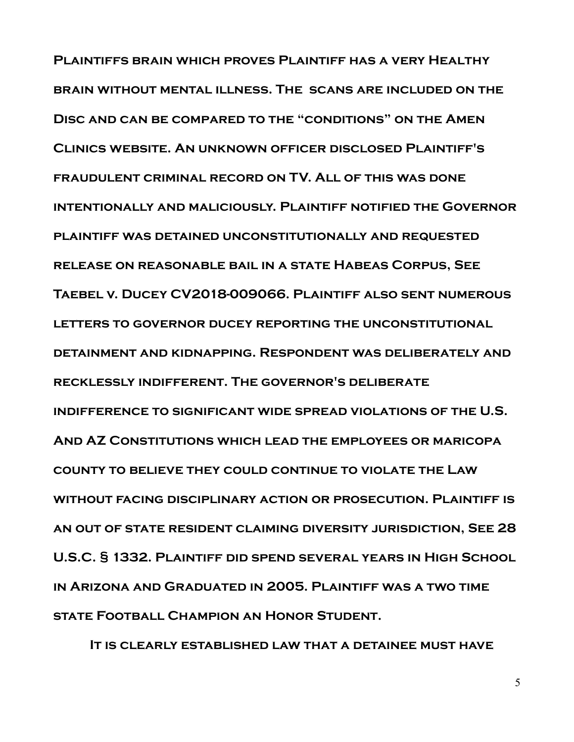**Plaintiffs brain which proves Plaintiff has a very Healthy brain without mental illness. The scans are included on the Disc and can be compared to the "conditions" on the Amen Clinics website. An unknown officer disclosed Plaintiff's fraudulent criminal record on TV. All of this was done intentionally and maliciously. Plaintiff notified the Governor plaintiff was detained unconstitutionally and requested release on reasonable bail in a state Habeas Corpus, See Taebel v. Ducey CV2018-009066. Plaintiff also sent numerous letters to governor ducey reporting the unconstitutional detainment and kidnapping. Respondent was deliberately and recklessly indifferent. The governor's deliberate indifference to significant wide spread violations of the U.S. And AZ Constitutions which lead the employees or maricopa county to believe they could continue to violate the Law without facing disciplinary action or prosecution. Plaintiff is an out of state resident claiming diversity jurisdiction, See 28 U.S.C. § 1332. Plaintiff did spend several years in High School in Arizona and Graduated in 2005. Plaintiff was a two time state Football Champion an Honor Student.**

 **It is clearly established law that a detainee must have**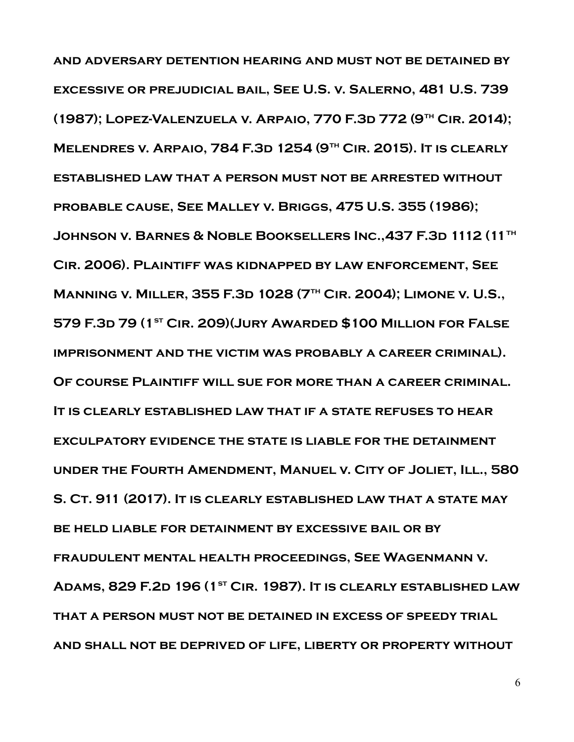**and adversary detention hearing and must not be detained by excessive or prejudicial bail, See U.S. v. Salerno, 481 U.S. 739 (1987); Lopez-Valenzuela v. Arpaio, 770 F.3d 772 (9th Cir. 2014); Melendres v. Arpaio, 784 F.3d 1254 (9th Cir. 2015). It is clearly established law that a person must not be arrested without probable cause, See Malley v. Briggs, 475 U.S. 355 (1986); Johnson v. Barnes & Noble Booksellers Inc.,437 F.3d 1112 (11th Cir. 2006). Plaintiff was kidnapped by law enforcement, See Manning v. Miller, 355 F.3d 1028 (7th Cir. 2004); Limone v. U.S., 579 F.3d 79 (1st Cir. 209)(Jury Awarded \$100 Million for False imprisonment and the victim was probably a career criminal). Of course Plaintiff will sue for more than a career criminal. It is clearly established law that if a state refuses to hear exculpatory evidence the state is liable for the detainment under the Fourth Amendment, Manuel v. City of Joliet, Ill., 580 S. Ct. 911 (2017). It is clearly established law that a state may be held liable for detainment by excessive bail or by fraudulent mental health proceedings, See Wagenmann v. Adams, 829 F.2d 196 (1st Cir. 1987). It is clearly established law that a person must not be detained in excess of speedy trial and shall not be deprived of life, liberty or property without**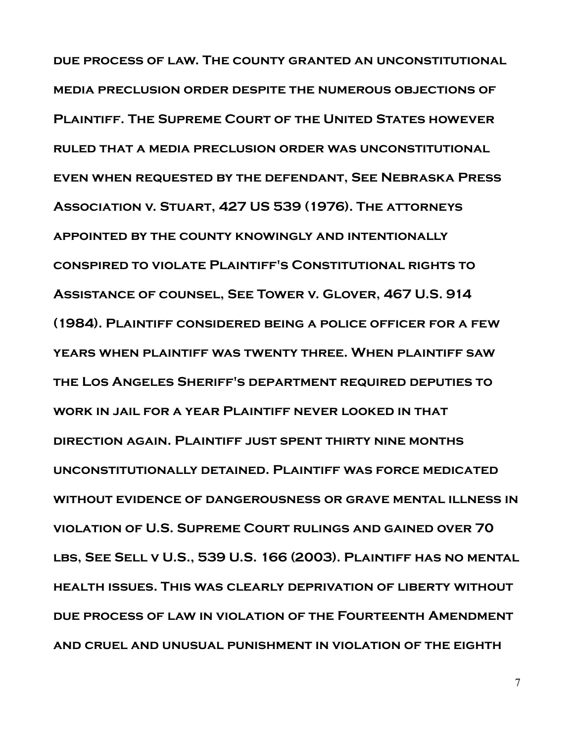**due process of law. The county granted an unconstitutional media preclusion order despite the numerous objections of Plaintiff. The Supreme Court of the United States however ruled that a media preclusion order was unconstitutional even when requested by the defendant, See Nebraska Press Association v. Stuart, 427 US 539 (1976). The attorneys appointed by the county knowingly and intentionally conspired to violate Plaintiff's Constitutional rights to Assistance of counsel, See Tower v. Glover, 467 U.S. 914 (1984). Plaintiff considered being a police officer for a few years when plaintiff was twenty three. When plaintiff saw the Los Angeles Sheriff's department required deputies to work in jail for a year Plaintiff never looked in that direction again. Plaintiff just spent thirty nine months unconstitutionally detained. Plaintiff was force medicated without evidence of dangerousness or grave mental illness in violation of U.S. Supreme Court rulings and gained over 70 lbs, See Sell v U.S., 539 U.S. 166 (2003). Plaintiff has no mental health issues. This was clearly deprivation of liberty without due process of law in violation of the Fourteenth Amendment and cruel and unusual punishment in violation of the eighth**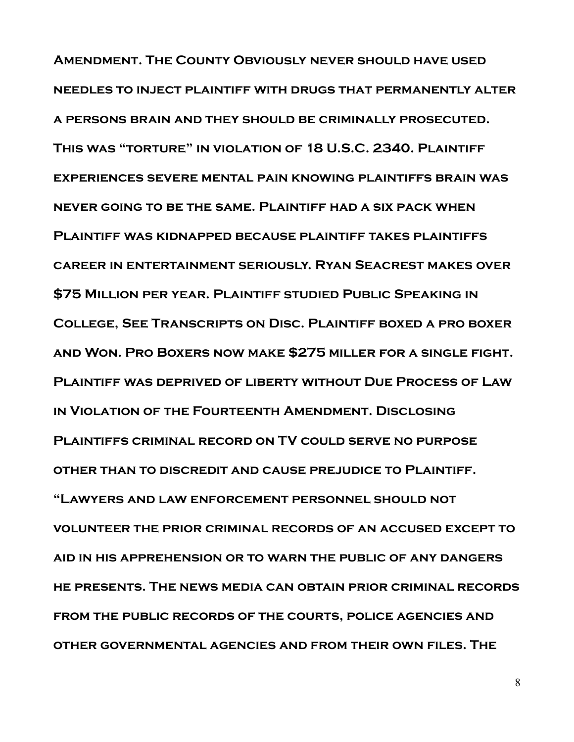**Amendment. The County Obviously never should have used needles to inject plaintiff with drugs that permanently alter a persons brain and they should be criminally prosecuted. This was "torture" in violation of 18 U.S.C. 2340. Plaintiff experiences severe mental pain knowing plaintiffs brain was never going to be the same. Plaintiff had a six pack when Plaintiff was kidnapped because plaintiff takes plaintiffs career in entertainment seriously. Ryan Seacrest makes over \$75 Million per year. Plaintiff studied Public Speaking in College, See Transcripts on Disc. Plaintiff boxed a pro boxer and Won. Pro Boxers now make \$275 miller for a single fight. Plaintiff was deprived of liberty without Due Process of Law in Violation of the Fourteenth Amendment. Disclosing Plaintiffs criminal record on TV could serve no purpose other than to discredit and cause prejudice to Plaintiff. "Lawyers and law enforcement personnel should not volunteer the prior criminal records of an accused except to aid in his apprehension or to warn the public of any dangers he presents. The news media can obtain prior criminal records from the public records of the courts, police agencies and other governmental agencies and from their own files. The**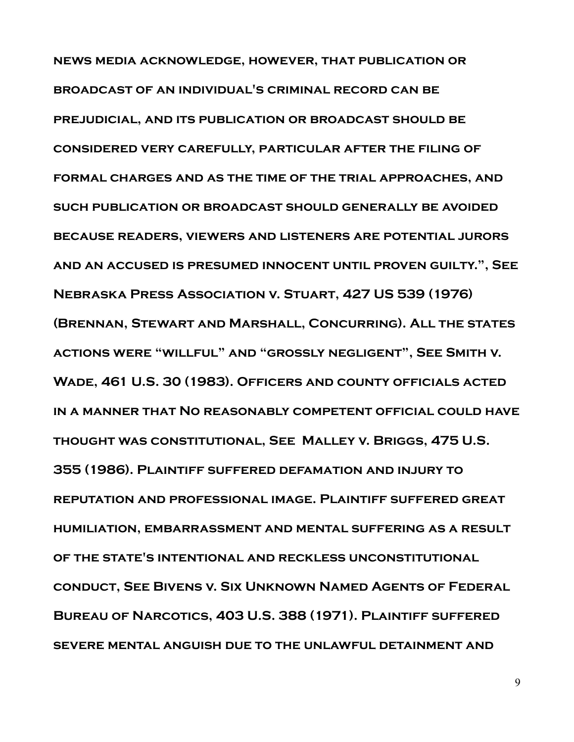**news media acknowledge, however, that publication or broadcast of an individual's criminal record can be prejudicial, and its publication or broadcast should be considered very carefully, particular after the filing of formal charges and as the time of the trial approaches, and such publication or broadcast should generally be avoided because readers, viewers and listeners are potential jurors and an accused is presumed innocent until proven guilty.", See Nebraska Press Association v. Stuart, 427 US 539 (1976) (Brennan, Stewart and Marshall, Concurring). All the states actions were "willful" and "grossly negligent", See Smith v. Wade, 461 U.S. 30 (1983). Officers and county officials acted in a manner that No reasonably competent official could have thought was constitutional, See Malley v. Briggs, 475 U.S. 355 (1986). Plaintiff suffered defamation and injury to reputation and professional image. Plaintiff suffered great humiliation, embarrassment and mental suffering as a result of the state's intentional and reckless unconstitutional conduct, See Bivens v. Six Unknown Named Agents of Federal Bureau of Narcotics, 403 U.S. 388 (1971). Plaintiff suffered severe mental anguish due to the unlawful detainment and**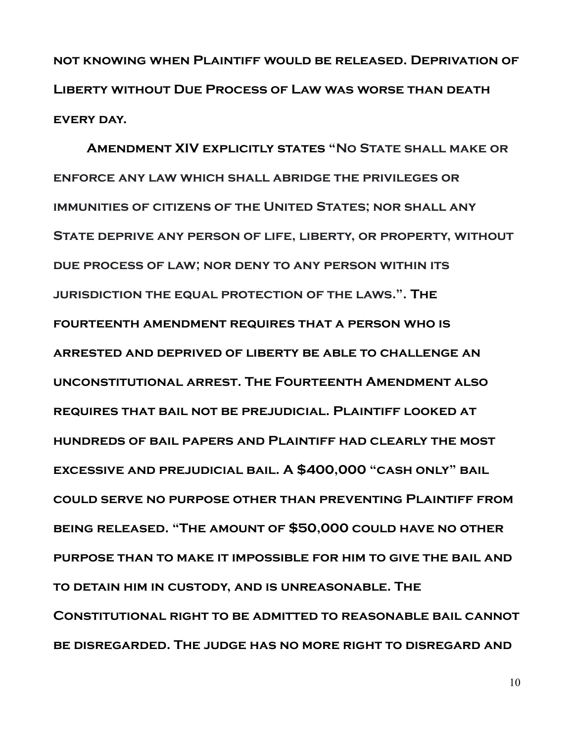**not knowing when Plaintiff would be released. Deprivation of Liberty without Due Process of Law was worse than death every day.**

**Amendment XIV explicitly states "No State shall make or enforce any law which shall abridge the privileges or immunities of citizens of the United States; nor shall any State deprive any person of life, liberty, or property, without due process of law; nor deny to any person within its jurisdiction the equal protection of the laws.". The fourteenth amendment requires that a person who is arrested and deprived of liberty be able to challenge an unconstitutional arrest. The Fourteenth Amendment also requires that bail not be prejudicial. Plaintiff looked at hundreds of bail papers and Plaintiff had clearly the most excessive and prejudicial bail. A \$400,000 "cash only" bail could serve no purpose other than preventing Plaintiff from being released. "The amount of \$50,000 could have no other purpose than to make it impossible for him to give the bail and to detain him in custody, and is unreasonable. The Constitutional right to be admitted to reasonable bail cannot be disregarded. The judge has no more right to disregard and**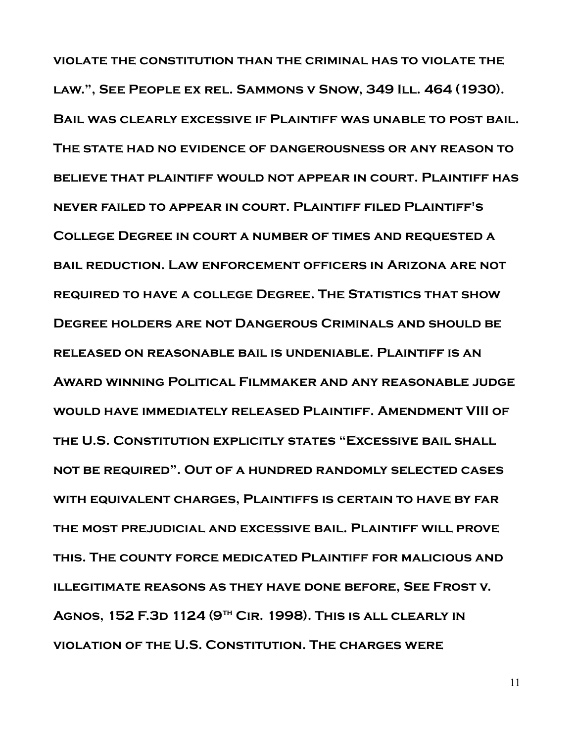**violate the constitution than the criminal has to violate the law.", See People ex rel. Sammons v Snow, 349 Ill. 464 (1930). Bail was clearly excessive if Plaintiff was unable to post bail. The state had no evidence of dangerousness or any reason to believe that plaintiff would not appear in court. Plaintiff has never failed to appear in court. Plaintiff filed Plaintiff's College Degree in court a number of times and requested a bail reduction. Law enforcement officers in Arizona are not required to have a college Degree. The Statistics that show Degree holders are not Dangerous Criminals and should be released on reasonable bail is undeniable. Plaintiff is an Award winning Political Filmmaker and any reasonable judge would have immediately released Plaintiff. Amendment VIII of the U.S. Constitution explicitly states "Excessive bail shall not be required". Out of a hundred randomly selected cases with equivalent charges, Plaintiffs is certain to have by far the most prejudicial and excessive bail. Plaintiff will prove this. The county force medicated Plaintiff for malicious and illegitimate reasons as they have done before, See Frost v. Agnos, 152 F.3d 1124 (9th Cir. 1998). This is all clearly in violation of the U.S. Constitution. The charges were** 

11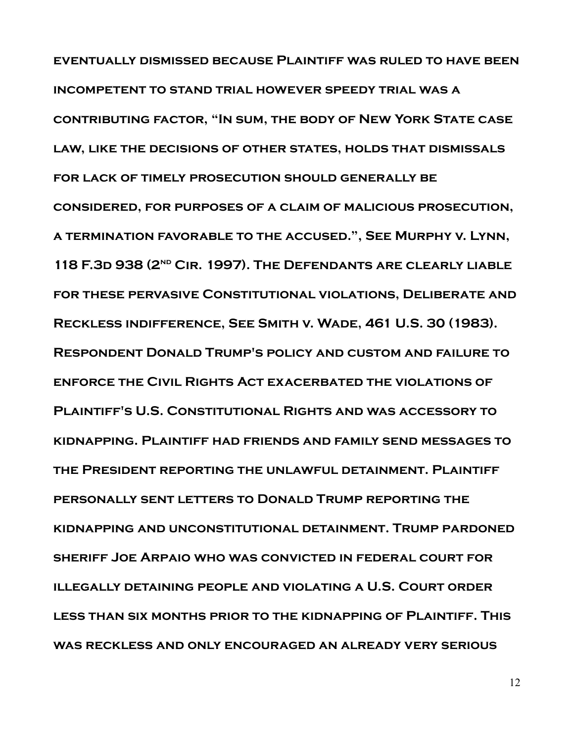**eventually dismissed because Plaintiff was ruled to have been incompetent to stand trial however speedy trial was a contributing factor, "In sum, the body of New York State case law, like the decisions of other states, holds that dismissals for lack of timely prosecution should generally be considered, for purposes of a claim of malicious prosecution, a termination favorable to the accused.", See Murphy v. Lynn, 118 F.3d 938 (2nd Cir. 1997). The Defendants are clearly liable for these pervasive Constitutional violations, Deliberate and Reckless indifference, See Smith v. Wade, 461 U.S. 30 (1983). Respondent Donald Trump's policy and custom and failure to enforce the Civil Rights Act exacerbated the violations of Plaintiff's U.S. Constitutional Rights and was accessory to kidnapping. Plaintiff had friends and family send messages to the President reporting the unlawful detainment. Plaintiff personally sent letters to Donald Trump reporting the kidnapping and unconstitutional detainment. Trump pardoned sheriff Joe Arpaio who was convicted in federal court for illegally detaining people and violating a U.S. Court order less than six months prior to the kidnapping of Plaintiff. This was reckless and only encouraged an already very serious**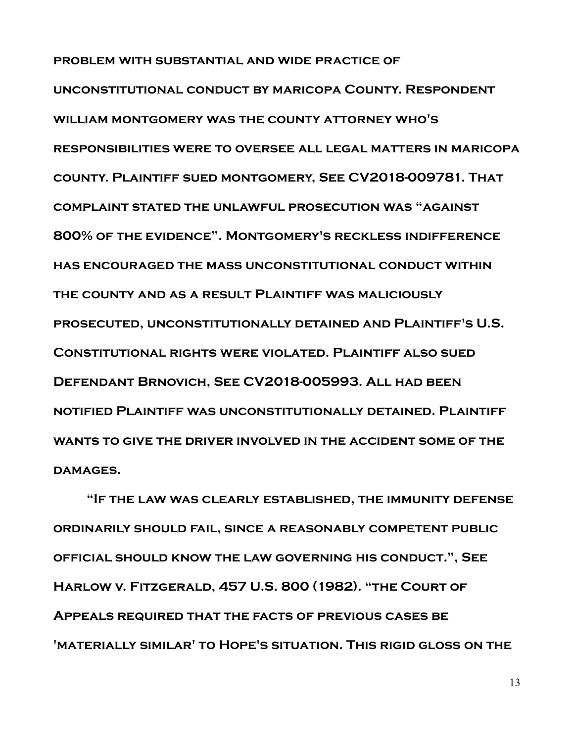**problem with substantial and wide practice of unconstitutional conduct by maricopa County. Respondent william montgomery was the county attorney who's responsibilities were to oversee all legal matters in maricopa county. Plaintiff sued montgomery, See CV2018-009781. That complaint stated the unlawful prosecution was "against 800% of the evidence". Montgomery's reckless indifference has encouraged the mass unconstitutional conduct within the county and as a result Plaintiff was maliciously prosecuted, unconstitutionally detained and Plaintiff's U.S. Constitutional rights were violated. Plaintiff also sued Defendant Brnovich, See CV2018-005993. All had been notified Plaintiff was unconstitutionally detained. Plaintiff wants to give the driver involved in the accident some of the damages.**

**"If the law was clearly established, the immunity defense ordinarily should fail, since a reasonably competent public official should know the law governing his conduct.", See Harlow v. Fitzgerald, 457 U.S. 800 (1982). "the Court of Appeals required that the facts of previous cases be 'materially similar' to Hope's situation. This rigid gloss on the**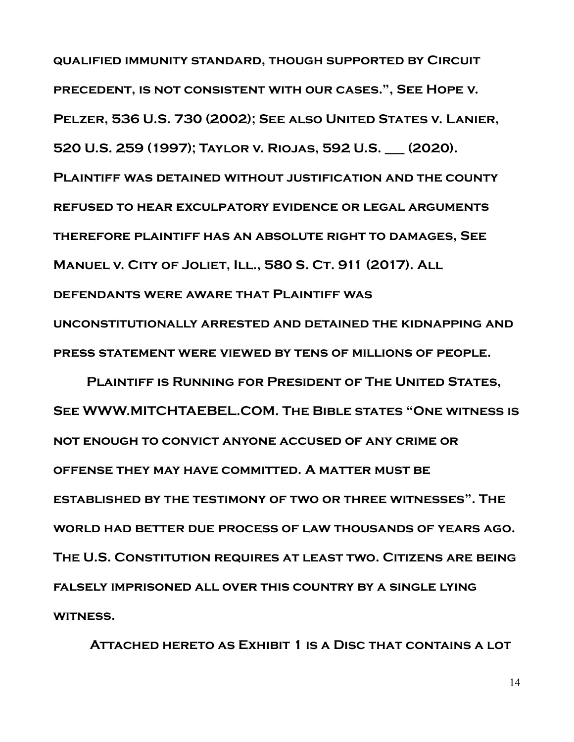**qualified immunity standard, though supported by Circuit precedent, is not consistent with our cases.", See Hope v. Pelzer, 536 U.S. 730 (2002); See also United States v. Lanier, 520 U.S. 259 (1997); Taylor v. Riojas, 592 U.S. \_\_\_ (2020). Plaintiff was detained without justification and the county refused to hear exculpatory evidence or legal arguments therefore plaintiff has an absolute right to damages, See Manuel v. City of Joliet, Ill., 580 S. Ct. 911 (2017). All defendants were aware that Plaintiff was unconstitutionally arrested and detained the kidnapping and press statement were viewed by tens of millions of people.**

**Plaintiff is Running for President of The United States, See WWW.MITCHTAEBEL.COM. The Bible states "One witness is not enough to convict anyone accused of any crime or offense they may have committed. A matter must be established by the testimony of two or three witnesses". The world had better due process of law thousands of years ago. The U.S. Constitution requires at least two. Citizens are being falsely imprisoned all over this country by a single lying witness.**

 **Attached hereto as Exhibit 1 is a Disc that contains a lot**